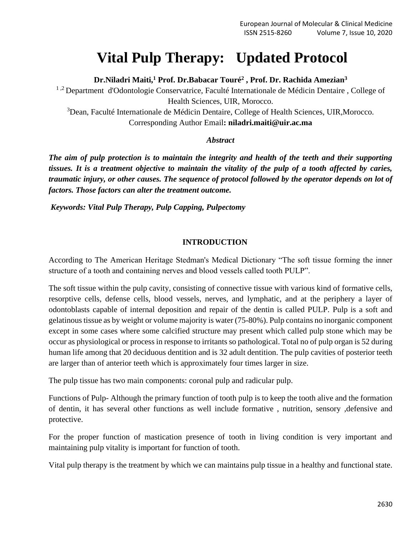# **Vital Pulp Therapy: Updated Protocol**

**Dr.Niladri Maiti,<sup>1</sup> Prof. Dr.Babacar Touré<sup>2</sup> , Prof. Dr. Rachida Amezian<sup>3</sup>**

<sup>1,2</sup> Department d'Odontologie Conservatrice, Faculté Internationale de Médicin Dentaire, College of Health Sciences, UIR, Morocco.

<sup>3</sup>Dean, Faculté Internationale de Médicin Dentaire, College of Health Sciences, UIR,Morocco. Corresponding Author Email**: niladri.maiti@uir.ac.ma**

# *Abstract*

*The aim of pulp protection is to maintain the integrity and health of the teeth and their supporting tissues. It is a treatment objective to maintain the vitality of the pulp of a tooth affected by caries, traumatic injury, or other causes. The sequence of protocol followed by the operator depends on lot of factors. Those factors can alter the treatment outcome.*

*Keywords: Vital Pulp Therapy, Pulp Capping, Pulpectomy*

# **INTRODUCTION**

According to The American Heritage Stedman's Medical Dictionary "The soft tissue forming the inner structure of a tooth and containing nerves and blood vessels called tooth PULP".

The soft tissue within the pulp cavity, consisting of connective tissue with various kind of formative cells, resorptive cells, defense cells, blood vessels, nerves, and lymphatic, and at the periphery a layer of odontoblasts capable of internal deposition and repair of the dentin is called PULP. Pulp is a soft and gelatinous tissue as by weight or volume majority is water (75-80%). Pulp contains no inorganic component except in some cases where some calcified structure may present which called pulp stone which may be occur as physiological or process in response to irritants so pathological. Total no of pulp organ is 52 during human life among that 20 deciduous dentition and is 32 adult dentition. The pulp cavities of posterior teeth are larger than of anterior teeth which is approximately four times larger in size.

The pulp tissue has two main components: coronal pulp and radicular pulp.

Functions of Pulp- Although the primary function of tooth pulp is to keep the tooth alive and the formation of dentin, it has several other functions as well include formative , nutrition, sensory ,defensive and protective.

For the proper function of mastication presence of tooth in living condition is very important and maintaining pulp vitality is important for function of tooth.

Vital pulp therapy is the treatment by which we can maintains pulp tissue in a healthy and functional state.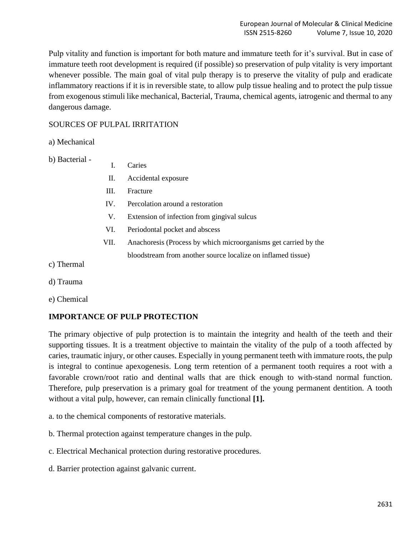Pulp vitality and function is important for both mature and immature teeth for it's survival. But in case of immature teeth root development is required (if possible) so preservation of pulp vitality is very important whenever possible. The main goal of vital pulp therapy is to preserve the vitality of pulp and eradicate inflammatory reactions if it is in reversible state, to allow pulp tissue healing and to protect the pulp tissue from exogenous stimuli like mechanical, Bacterial, Trauma, chemical agents, iatrogenic and thermal to any dangerous damage.

# SOURCES OF PULPAL IRRITATION

- a) Mechanical
- b) Bacterial -
- I. Caries
- II. Accidental exposure
- III. Fracture
- IV. Percolation around a restoration
- V. Extension of infection from gingival sulcus
- VI. Periodontal pocket and abscess
- VII. Anachoresis (Process by which microorganisms get carried by the
	- bloodstream from another source localize on inflamed tissue)
- c) Thermal
- d) Trauma
- e) Chemical

# **IMPORTANCE OF PULP PROTECTION**

The primary objective of pulp protection is to maintain the integrity and health of the teeth and their supporting tissues. It is a treatment objective to maintain the vitality of the pulp of a tooth affected by caries, traumatic injury, or other causes. Especially in young permanent teeth with immature roots, the pulp is integral to continue apexogenesis. Long term retention of a permanent tooth requires a root with a favorable crown/root ratio and dentinal walls that are thick enough to with-stand normal function. Therefore, pulp preservation is a primary goal for treatment of the young permanent dentition. A tooth without a vital pulp, however, can remain clinically functional **[1].**

- a. to the chemical components of restorative materials.
- b. Thermal protection against temperature changes in the pulp.
- c. Electrical Mechanical protection during restorative procedures.
- d. Barrier protection against galvanic current.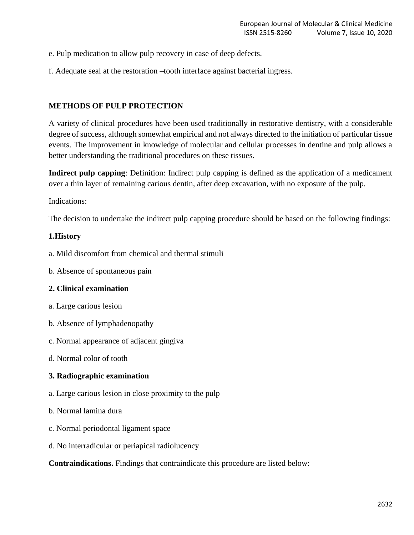- e. Pulp medication to allow pulp recovery in case of deep defects.
- f. Adequate seal at the restoration –tooth interface against bacterial ingress.

## **METHODS OF PULP PROTECTION**

A variety of clinical procedures have been used traditionally in restorative dentistry, with a considerable degree of success, although somewhat empirical and not always directed to the initiation of particular tissue events. The improvement in knowledge of molecular and cellular processes in dentine and pulp allows a better understanding the traditional procedures on these tissues.

**Indirect pulp capping**: Definition: Indirect pulp capping is defined as the application of a medicament over a thin layer of remaining carious dentin, after deep excavation, with no exposure of the pulp.

Indications:

The decision to undertake the indirect pulp capping procedure should be based on the following findings:

#### **1.History**

- a. Mild discomfort from chemical and thermal stimuli
- b. Absence of spontaneous pain

## **2. Clinical examination**

- a. Large carious lesion
- b. Absence of lymphadenopathy
- c. Normal appearance of adjacent gingiva
- d. Normal color of tooth

### **3. Radiographic examination**

- a. Large carious lesion in close proximity to the pulp
- b. Normal lamina dura
- c. Normal periodontal ligament space
- d. No interradicular or periapical radiolucency

**Contraindications.** Findings that contraindicate this procedure are listed below: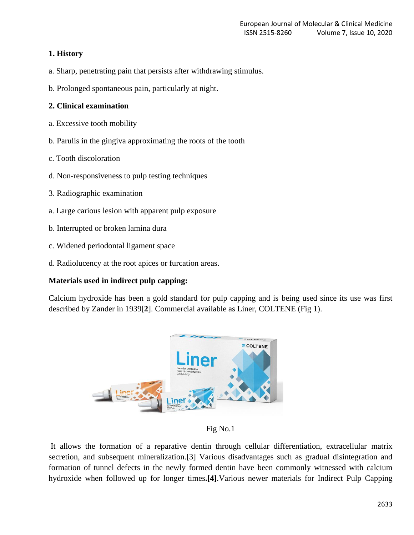# **1. History**

- a. Sharp, penetrating pain that persists after withdrawing stimulus.
- b. Prolonged spontaneous pain, particularly at night.

# **2. Clinical examination**

- a. Excessive tooth mobility
- b. Parulis in the gingiva approximating the roots of the tooth
- c. Tooth discoloration
- d. Non-responsiveness to pulp testing techniques
- 3. Radiographic examination
- a. Large carious lesion with apparent pulp exposure
- b. Interrupted or broken lamina dura
- c. Widened periodontal ligament space
- d. Radiolucency at the root apices or furcation areas.

# **Materials used in indirect pulp capping:**

Calcium hydroxide has been a gold standard for pulp capping and is being used since its use was first described by Zander in 1939[**2**]. Commercial available as Liner, COLTENE (Fig 1).



Fig No.1

It allows the formation of a reparative dentin through cellular differentiation, extracellular matrix secretion, and subsequent mineralization.[3] Various disadvantages such as gradual disintegration and formation of tunnel defects in the newly formed dentin have been commonly witnessed with calcium hydroxide when followed up for longer times**.[4]**.Various newer materials for Indirect Pulp Capping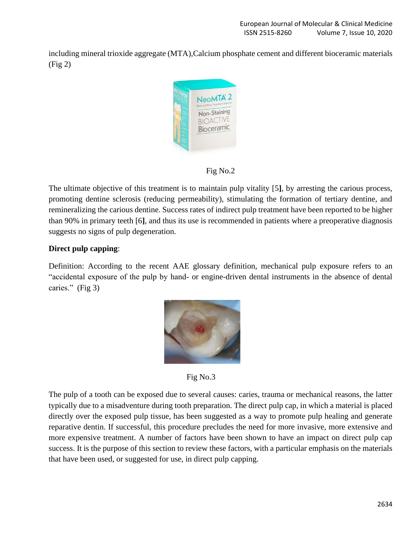including mineral trioxide aggregate (MTA),Calcium phosphate cement and different bioceramic materials (Fig 2)



Fig No.2

The ultimate objective of this treatment is to maintain pulp vitality [5**]**, by arresting the carious process, promoting dentine sclerosis (reducing permeability), stimulating the formation of tertiary dentine, and remineralizing the carious dentine. Success rates of indirect pulp treatment have been reported to be higher than 90% in primary teeth [6**]**, and thus its use is recommended in patients where a preoperative diagnosis suggests no signs of pulp degeneration.

# **Direct pulp capping**:

Definition: According to the recent AAE glossary definition, mechanical pulp exposure refers to an "accidental exposure of the pulp by hand- or engine-driven dental instruments in the absence of dental caries." (Fig 3)





The pulp of a tooth can be exposed due to several causes: caries, trauma or mechanical reasons, the latter typically due to a misadventure during tooth preparation. The direct pulp cap, in which a material is placed directly over the exposed pulp tissue, has been suggested as a way to promote pulp healing and generate reparative dentin. If successful, this procedure precludes the need for more invasive, more extensive and more expensive treatment. A number of factors have been shown to have an impact on direct pulp cap success. It is the purpose of this section to review these factors, with a particular emphasis on the materials that have been used, or suggested for use, in direct pulp capping.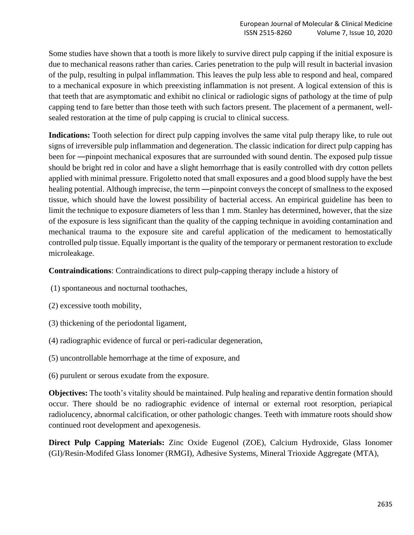Some studies have shown that a tooth is more likely to survive direct pulp capping if the initial exposure is due to mechanical reasons rather than caries. Caries penetration to the pulp will result in bacterial invasion of the pulp, resulting in pulpal inflammation. This leaves the pulp less able to respond and heal, compared to a mechanical exposure in which preexisting inflammation is not present. A logical extension of this is that teeth that are asymptomatic and exhibit no clinical or radiologic signs of pathology at the time of pulp capping tend to fare better than those teeth with such factors present. The placement of a permanent, wellsealed restoration at the time of pulp capping is crucial to clinical success.

**Indications:** Tooth selection for direct pulp capping involves the same vital pulp therapy like, to rule out signs of irreversible pulp inflammation and degeneration. The classic indication for direct pulp capping has been for —pinpoint mechanical exposures that are surrounded with sound dentin. The exposed pulp tissue should be bright red in color and have a slight hemorrhage that is easily controlled with dry cotton pellets applied with minimal pressure. Frigoletto noted that small exposures and a good blood supply have the best healing potential. Although imprecise, the term —pinpoint conveys the concept of smallness to the exposed tissue, which should have the lowest possibility of bacterial access. An empirical guideline has been to limit the technique to exposure diameters of less than 1 mm. Stanley has determined, however, that the size of the exposure is less significant than the quality of the capping technique in avoiding contamination and mechanical trauma to the exposure site and careful application of the medicament to hemostatically controlled pulp tissue. Equally important is the quality of the temporary or permanent restoration to exclude microleakage.

**Contraindications**: Contraindications to direct pulp-capping therapy include a history of

- (1) spontaneous and nocturnal toothaches,
- (2) excessive tooth mobility,
- (3) thickening of the periodontal ligament,
- (4) radiographic evidence of furcal or peri-radicular degeneration,
- (5) uncontrollable hemorrhage at the time of exposure, and
- (6) purulent or serous exudate from the exposure.

**Objectives:** The tooth's vitality should be maintained. Pulp healing and reparative dentin formation should occur. There should be no radiographic evidence of internal or external root resorption, periapical radiolucency, abnormal calcification, or other pathologic changes. Teeth with immature roots should show continued root development and apexogenesis.

**Direct Pulp Capping Materials:** Zinc Oxide Eugenol (ZOE), Calcium Hydroxide, Glass Ionomer (GI)/Resin-Modifed Glass Ionomer (RMGI), Adhesive Systems, Mineral Trioxide Aggregate (MTA),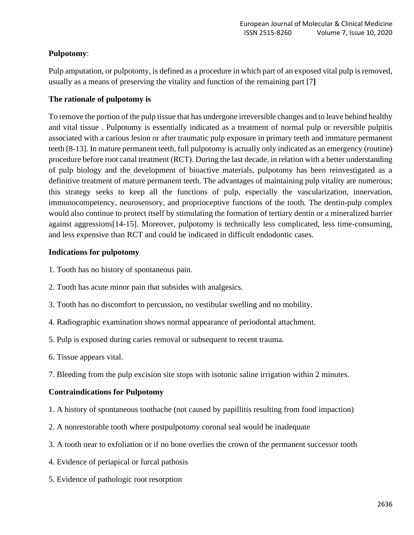# **Pulpotomy**:

Pulp amputation, or pulpotomy, is defined as a procedure in which part of an exposed vital pulp is removed, usually as a means of preserving the vitality and function of the remaining part [7**]**

# **The rationale of pulpotomy is**

To remove the portion of the pulp tissue that has undergone irreversible changes and to leave behind healthy and vital tissue . Pulpotomy is essentially indicated as a treatment of normal pulp or reversible pulpitis associated with a carious lesion or after traumatic pulp exposure in primary teeth and immature permanent teeth [8-13]. In mature permanent teeth, full pulpotomy is actually only indicated as an emergency (routine) procedure before root canal treatment (RCT). During the last decade, in relation with a better understanding of pulp biology and the development of bioactive materials, pulpotomy has been reinvestigated as a definitive treatment of mature permanent teeth. The advantages of maintaining pulp vitality are numerous; this strategy seeks to keep all the functions of pulp, especially the vascularization, innervation, immunocompetency, neurosensory, and proprioceptive functions of the tooth. The dentin-pulp complex would also continue to protect itself by stimulating the formation of tertiary dentin or a mineralized barrier against aggressions[14-15]. Moreover, pulpotomy is technically less complicated, less time-consuming, and less expensive than RCT and could be indicated in difficult endodontic cases.

# **Indications for pulpotomy**

- 1. Tooth has no history of spontaneous pain.
- 2. Tooth has acute minor pain that subsides with analgesics.
- 3. Tooth has no discomfort to percussion, no vestibular swelling and no mobility.
- 4. Radiographic examination shows normal appearance of periodontal attachment.
- 5. Pulp is exposed during caries removal or subsequent to recent trauma.
- 6. Tissue appears vital.
- 7. Bleeding from the pulp excision site stops with isotonic saline irrigation within 2 minutes.

# **Contraindications for Pulpotomy**

- 1. A history of spontaneous toothache (not caused by papillitis resulting from food impaction)
- 2. A nonrestorable tooth where postpulpotomy coronal seal would be inadequate
- 3. A tooth near to exfoliation or if no bone overlies the crown of the permanent successor tooth
- 4. Evidence of periapical or furcal pathosis
- 5. Evidence of pathologic root resorption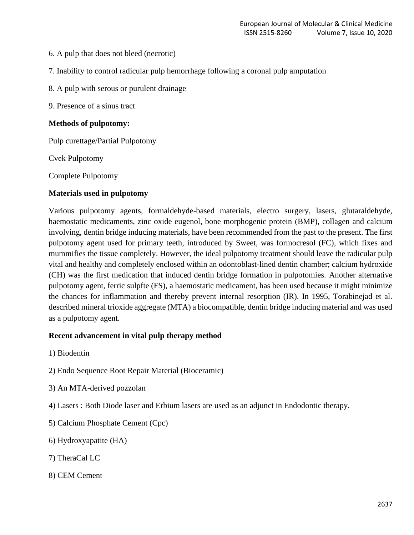- 6. A pulp that does not bleed (necrotic)
- 7. Inability to control radicular pulp hemorrhage following a coronal pulp amputation
- 8. A pulp with serous or purulent drainage
- 9. Presence of a sinus tract

#### **Methods of pulpotomy:**

Pulp curettage/Partial Pulpotomy

Cvek Pulpotomy

Complete Pulpotomy

## **Materials used in pulpotomy**

Various pulpotomy agents, formaldehyde-based materials, electro surgery, lasers, glutaraldehyde, haemostatic medicaments, zinc oxide eugenol, bone morphogenic protein (BMP), collagen and calcium involving, dentin bridge inducing materials, have been recommended from the past to the present. The first pulpotomy agent used for primary teeth, introduced by Sweet, was formocresol (FC), which fixes and mummifies the tissue completely. However, the ideal pulpotomy treatment should leave the radicular pulp vital and healthy and completely enclosed within an odontoblast-lined dentin chamber; calcium hydroxide (CH) was the first medication that induced dentin bridge formation in pulpotomies. Another alternative pulpotomy agent, ferric sulpfte (FS), a haemostatic medicament, has been used because it might minimize the chances for inflammation and thereby prevent internal resorption (IR). In 1995, Torabinejad et al. described mineral trioxide aggregate (MTA) a biocompatible, dentin bridge inducing material and was used as a pulpotomy agent.

### **Recent advancement in vital pulp therapy method**

1) Biodentin

- 2) Endo Sequence Root Repair Material (Bioceramic)
- 3) An MTA-derived pozzolan

4) Lasers : Both Diode laser and Erbium lasers are used as an adjunct in Endodontic therapy.

- 5) Calcium Phosphate Cement (Cpc)
- 6) Hydroxyapatite (HA)
- 7) TheraCal LC
- 8) CEM Cement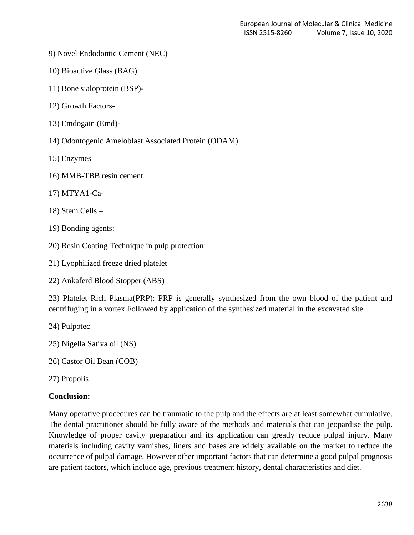- 9) Novel Endodontic Cement (NEC)
- 10) Bioactive Glass (BAG)
- 11) Bone sialoprotein (BSP)-
- 12) Growth Factors-
- 13) Emdogain (Emd)-
- 14) Odontogenic Ameloblast Associated Protein (ODAM)
- 15) Enzymes –
- 16) MMB-TBB resin cement
- 17) MTYA1-Ca-
- 18) Stem Cells –
- 19) Bonding agents:
- 20) Resin Coating Technique in pulp protection:
- 21) Lyophilized freeze dried platelet
- 22) Ankaferd Blood Stopper (ABS)

23) Platelet Rich Plasma(PRP): PRP is generally synthesized from the own blood of the patient and centrifuging in a vortex.Followed by application of the synthesized material in the excavated site.

- 24) Pulpotec
- 25) Nigella Sativa oil (NS)
- 26) Castor Oil Bean (COB)
- 27) Propolis

### **Conclusion:**

Many operative procedures can be traumatic to the pulp and the effects are at least somewhat cumulative. The dental practitioner should be fully aware of the methods and materials that can jeopardise the pulp. Knowledge of proper cavity preparation and its application can greatly reduce pulpal injury. Many materials including cavity varnishes, liners and bases are widely available on the market to reduce the occurrence of pulpal damage. However other important factors that can determine a good pulpal prognosis are patient factors, which include age, previous treatment history, dental characteristics and diet.